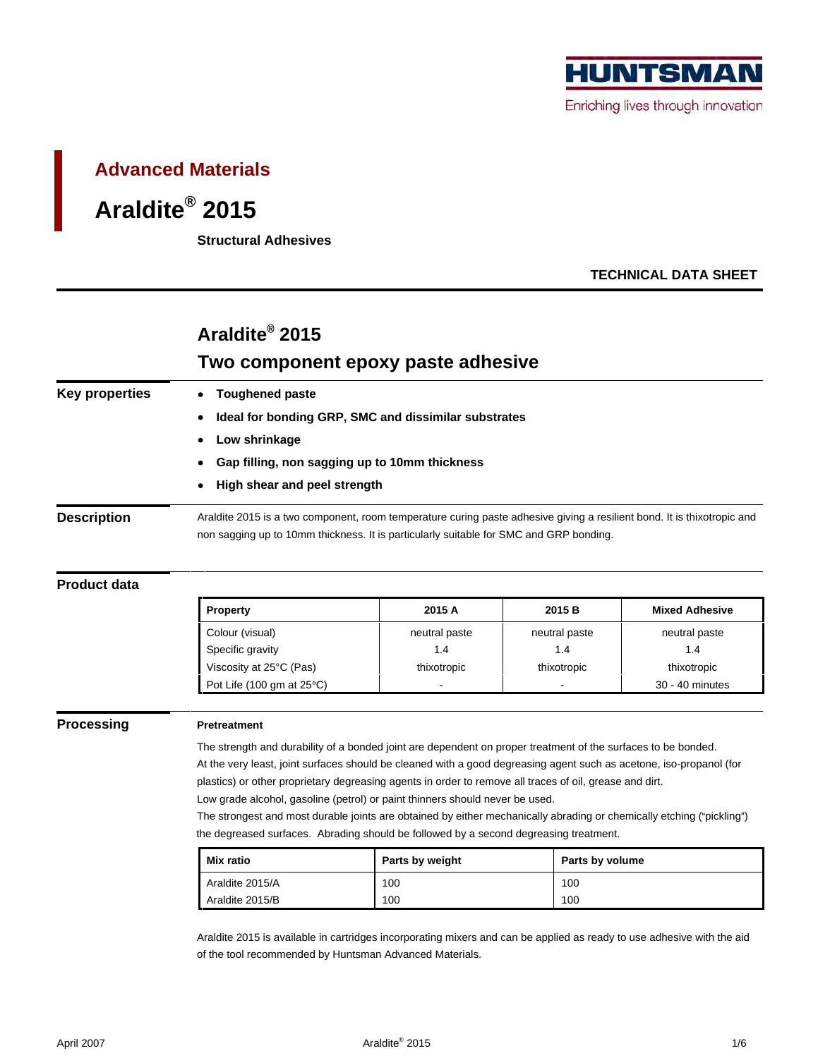

# **Araldite® 2015**

## **Araldite® 2015 Two component epoxy paste adhesive**

|                       |                                                                                                                                                                                                                   |                    |                    | <b>HUNTSMAN</b>                    |
|-----------------------|-------------------------------------------------------------------------------------------------------------------------------------------------------------------------------------------------------------------|--------------------|--------------------|------------------------------------|
|                       |                                                                                                                                                                                                                   |                    |                    | Enriching lives through innovation |
|                       |                                                                                                                                                                                                                   |                    |                    |                                    |
|                       |                                                                                                                                                                                                                   |                    |                    |                                    |
|                       | <b>Advanced Materials</b>                                                                                                                                                                                         |                    |                    |                                    |
|                       | Araldite <sup>®</sup> 2015                                                                                                                                                                                        |                    |                    |                                    |
|                       | <b>Structural Adhesives</b>                                                                                                                                                                                       |                    |                    |                                    |
|                       |                                                                                                                                                                                                                   |                    |                    | TECHNICAL DATA SHEET               |
|                       |                                                                                                                                                                                                                   |                    |                    |                                    |
|                       |                                                                                                                                                                                                                   |                    |                    |                                    |
|                       | Araldite <sup>®</sup> 2015                                                                                                                                                                                        |                    |                    |                                    |
|                       | Two component epoxy paste adhesive                                                                                                                                                                                |                    |                    |                                    |
| <b>Key properties</b> | • Toughened paste                                                                                                                                                                                                 |                    |                    |                                    |
|                       | • Ideal for bonding GRP, SMC and dissimilar substrates                                                                                                                                                            |                    |                    |                                    |
|                       | • Low shrinkage                                                                                                                                                                                                   |                    |                    |                                    |
|                       | • Gap filling, non sagging up to 10mm thickness<br>• High shear and peel strength                                                                                                                                 |                    |                    |                                    |
|                       |                                                                                                                                                                                                                   |                    |                    |                                    |
| <b>Description</b>    | Araldite 2015 is a two component, room temperature curing paste adhesive giving a resilient bond. It is thixotropic and<br>non sagging up to 10mm thickness. It is particularly suitable for SMC and GRP bonding. |                    |                    |                                    |
|                       |                                                                                                                                                                                                                   |                    |                    |                                    |
| <b>Product data</b>   |                                                                                                                                                                                                                   |                    |                    |                                    |
|                       | Property                                                                                                                                                                                                          | 2015 A             | 2015 B             | <b>Mixed Adhesive</b>              |
|                       | Colour (visual)                                                                                                                                                                                                   | neutral paste      | neutral paste      | neutral paste                      |
|                       | Specific gravity<br>Viscosity at 25°C (Pas)                                                                                                                                                                       | 1.4<br>thixotropic | 1.4<br>thixotropic | 1.4<br>thixotropic                 |
|                       | Pot Life (100 gm at 25°C)                                                                                                                                                                                         |                    | $\sim$             | 30 - 40 minutes                    |
| Processing            | Pretreatment                                                                                                                                                                                                      |                    |                    |                                    |
|                       | The strength and durability of a bonded joint are dependent on proper treatment of the surfaces to be bonded.                                                                                                     |                    |                    |                                    |
|                       | At the very least, joint surfaces should be cleaned with a good degreasing agent such as acetone, iso-propanol (for                                                                                               |                    |                    |                                    |
|                       | plastics) or other proprietary degreasing agents in order to remove all traces of oil, grease and dirt.<br>Low grade alcohol, gasoline (petrol) or paint thinners should never be used.                           |                    |                    |                                    |
|                       | The strongest and most durable joints are obtained by either mechanically abrading or chemically etching ("pickling")<br>the degreased surfaces. Abrading should be followed by a second degreasing treatment.    |                    |                    |                                    |
|                       | Mix ratio                                                                                                                                                                                                         | Parts by weight    | Parts by volume    |                                    |

### **Product data**

| Property                  | 2015 A        | 2015 B        | <b>Mixed Adhesive</b> |
|---------------------------|---------------|---------------|-----------------------|
| Colour (visual)           | neutral paste | neutral paste | neutral paste         |
| Specific gravity          |               |               |                       |
| Viscosity at 25°C (Pas)   | thixotropic   | thixotropic   | thixotropic           |
| Pot Life (100 gm at 25°C) |               |               | 30 - 40 minutes       |

### **Processing Pretreatment**

| <b>Mix ratio</b>                   | Parts by weight | Parts by volume |  |
|------------------------------------|-----------------|-----------------|--|
|                                    |                 |                 |  |
| Araldite 2015/A<br>Araldite 2015/B |                 |                 |  |

Araldite 2015 is available in cartridges incorporating mixers and can be applied as ready to use adhesive with the aid of the tool recommended by Huntsman Advanced Materials.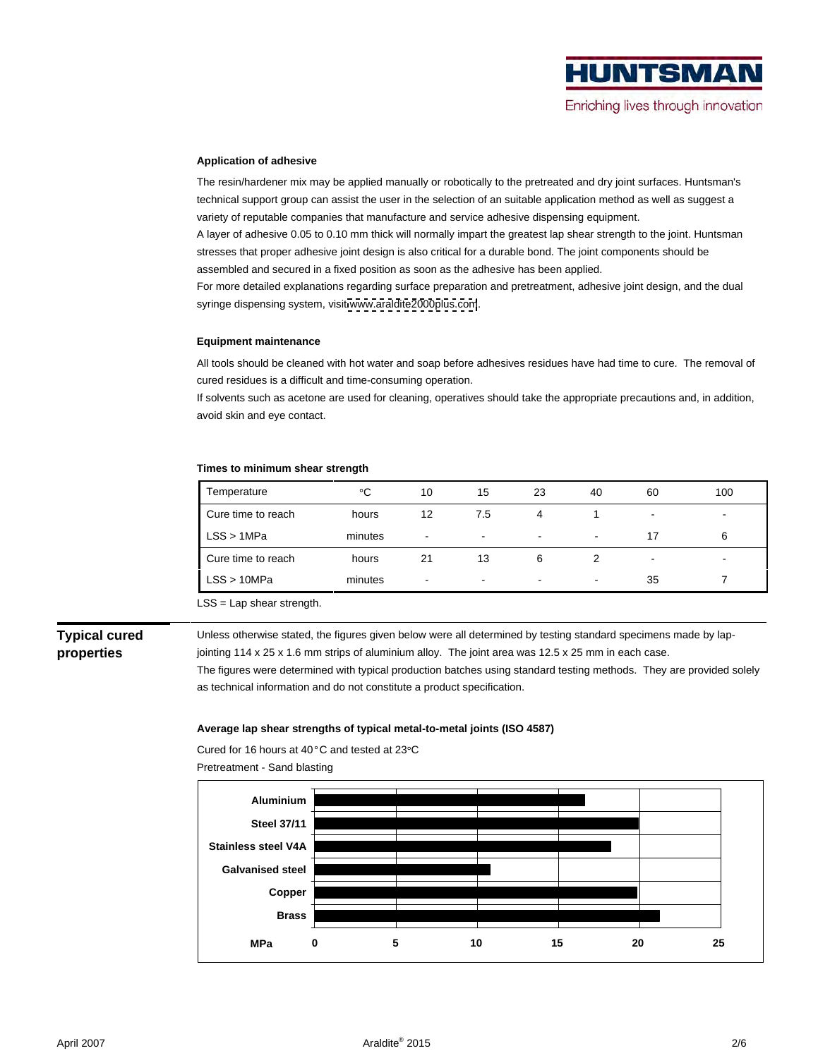#### **Application of adhesive**

The resin/hardener mix may be applied manually or robotically to the pretreated and dry joint surfaces. Huntsman's technical support group can assist the user in the selection of an suitable application method as well as suggest a variety of reputable companies that manufacture and service adhesive dispensing equipment.

A layer of adhesive 0.05 to 0.10 mm thick will normally impart the greatest lap shear strength to the joint. Huntsman stresses that proper adhesive joint design is also critical for a durable bond. The joint components should be assembled and secured in a fixed position as soon as the adhesive has been applied. **CURE TEND AND TEND IS THE CONSULTER CONSULTER CONSULTER CONSULTER CONSULTER CONSULTER CONSULTER CONSULTER CONSULTER CONSULTER CONSULTER CONSULTER CONSULTER CONSULTER CONSULTER CONSULTER CONSULTER CONSULTER CONSULTER CONSU** 

For more detailed explanations regarding surface preparation and pretreatment, adhesive joint design, and the dual syringe dispensing system, visit [www.araldite2000plus.com](http://www.araldite2000plus.com).

#### **Equipment maintenance**

All tools should be cleaned with hot water and soap before adhesives residues have had time to cure. The removal of cured residues is a difficult and time-consuming operation.

If solvents such as acetone are used for cleaning, operatives should take the appropriate precautions and, in addition, avoid skin and eye contact.

| Times to minimum shear strength |         |                 |    |    |  |     |
|---------------------------------|---------|-----------------|----|----|--|-----|
| Temperature                     |         |                 | 15 | دے |  | 100 |
| Cure time to reach              | hours   | 12 <sup>2</sup> |    |    |  |     |
| LSS > 1MPa                      | minutes |                 |    |    |  |     |
| Cure time to reach              | hours   | $\sim$ 1        |    |    |  |     |
| LSS > 10MPa                     | minutes |                 |    |    |  |     |

LSS = Lap shear strength.

**Typical cured**  Unless otherwise stated, the figures given below were all determined by testing standard specimens made by lap**properties** jointing 114 x 25 x 1.6 mm strips of aluminium alloy. The joint area was 12.5 x 25 mm in each case.

The figures were determined with typical production batches using standard testing methods. They are provided solely as technical information and do not constitute a product specification.

#### **Average lap shear strengths of typical metal-to-metal joints (ISO 4587)**

Cured for 16 hours at 40°C and tested at 23°C Pretreatment - Sand blasting

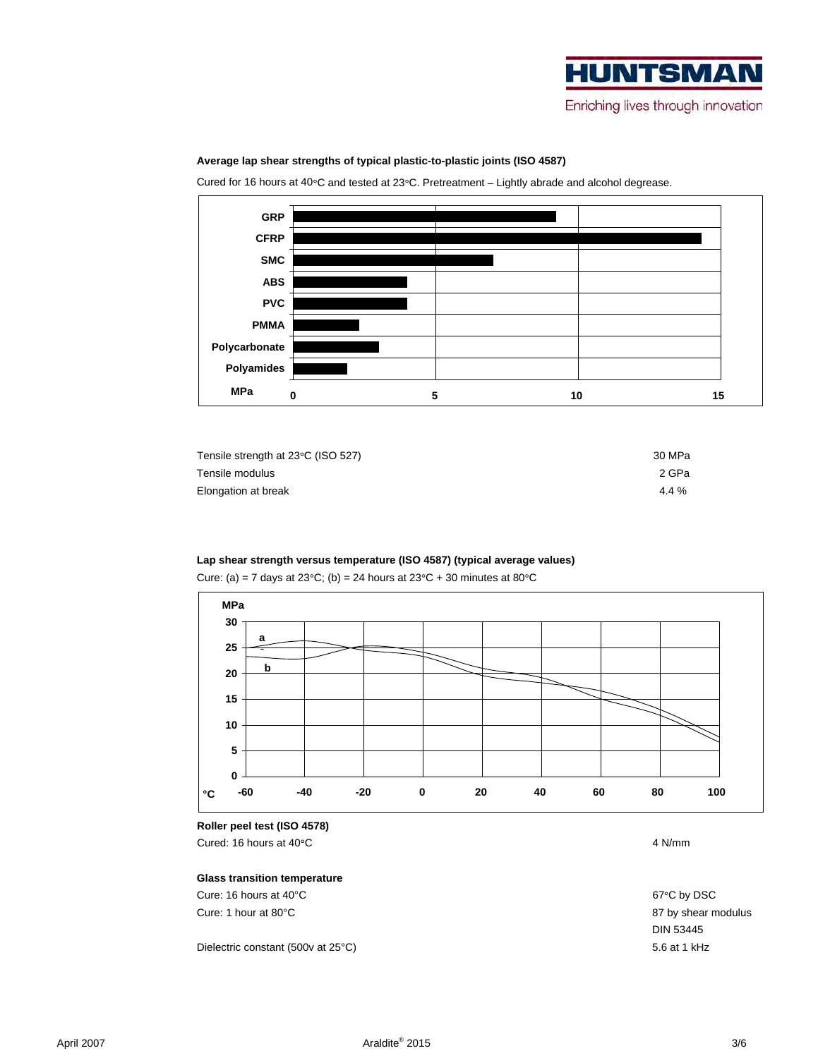

### **Average lap shear strengths of typical plastic-to-plastic joints (ISO 4587)**

Cured for 16 hours at  $40^{\circ}$ C and tested at 23 $^{\circ}$ C. Pretreatment – Lightly abrade and alcohol degrease.



| Tensile strength at 23°C (ISO 527) | 30 MPa |  |  |
|------------------------------------|--------|--|--|
| Tensile modulus                    | 2 GPa  |  |  |
| Elongation at break                | 4.4 %  |  |  |

### **Lap shear strength versus temperature (ISO 4587) (typical average values)**

Cure: (a) = 7 days at 23°C; (b) = 24 hours at 23°C + 30 minutes at 80°C



### **Roller peel test (ISO 4578)**

Cured: 16 hours at 40 °C  $\,$   $\,$  4 N/mm  $\,$   $\,$  4 N/mm  $\,$   $\,$  4 N/mm  $\,$ 

#### **Glass transition temperature**

Cure: 16 hours at 40°C  $\sim$  67°C by DSC  $\sim$ Cure: 1 hour at 80°C

Dielectric constant (500v at 25°C)

67 $^{\circ}$ C by DSC and the set of  $\sim$ 87 by shear modulus DIN 53445 5.6 at 1 kHz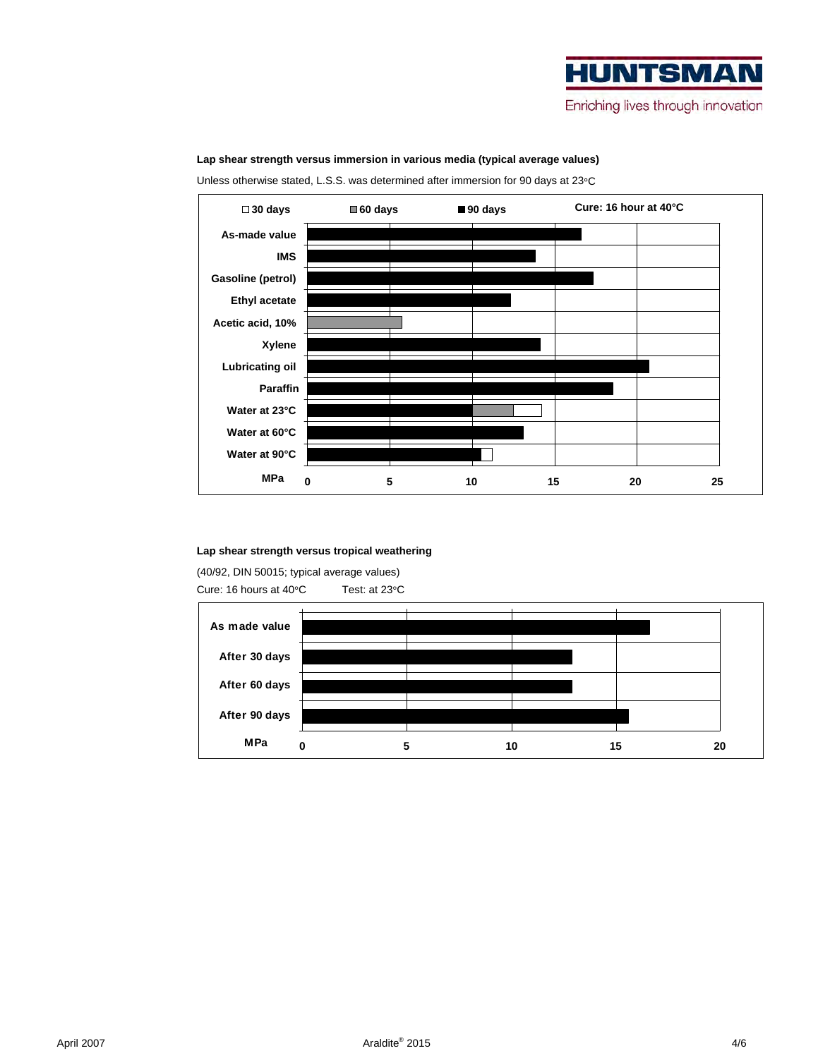

### **Lap shear strength versus immersion in various media (typical average values)**

Unless otherwise stated, L.S.S. was determined after immersion for 90 days at 23°C



#### **Lap shear strength versus tropical weathering**

(40/92, DIN 50015; typical average values) Cure: 16 hours at 40°C Fest: at 23°C  $\blacksquare$ 

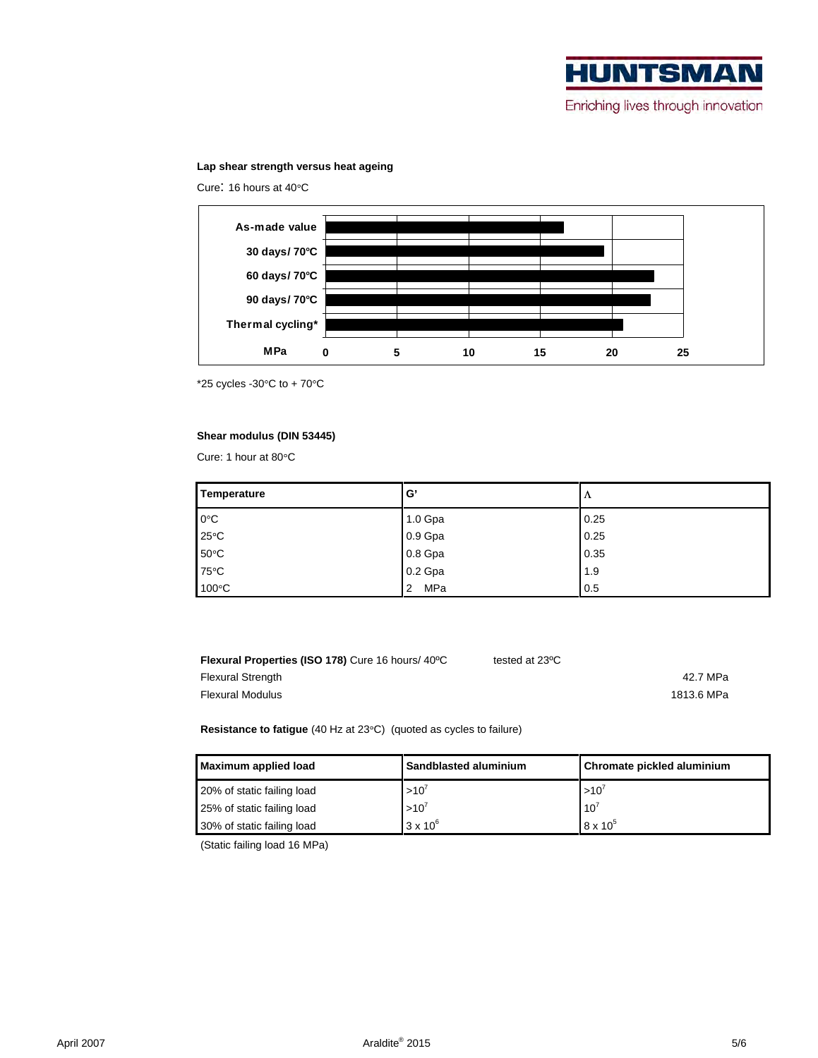### **Lap shear strength versus heat ageing**

Cure: 16 hours at 40 °C



 $*$ 25 cycles -30 $^{\circ}$ C to + 70 $^{\circ}$ C compared to the control of the control of the control of the control of the control of the control of the control of the control of the control of the control of the control of the c

### **Shear modulus (DIN 53445)**

Cure: 1 hour at 80 $^{\circ}$ C $\,$ 

| Temperatu. |         |  |
|------------|---------|--|
|            |         |  |
| $\sim$     |         |  |
|            |         |  |
|            |         |  |
|            | ب الا ا |  |

| Flexural Properties (ISO 178) Cure 16 hours/ 40°C | tested at 23°C |
|---------------------------------------------------|----------------|
|                                                   |                |
| <b>Flexural Strength</b>                          | 42.7 MPa       |
| <b>Flexural Modulus</b>                           |                |
|                                                   | 1813.6 MPa     |
|                                                   |                |

**Resistance to fatigue** (40 Hz at 23°C) (quoted as cycles to failure)

| Maximum applied load         | <b>Sandblasted aluminium</b> | <b>Chromate pickled aluminium</b> |
|------------------------------|------------------------------|-----------------------------------|
| 20% of static failing load   |                              |                                   |
| 25% of static failing load   |                              |                                   |
| 30% of static failing load   |                              |                                   |
| (Static failing load 16 MPa) |                              |                                   |